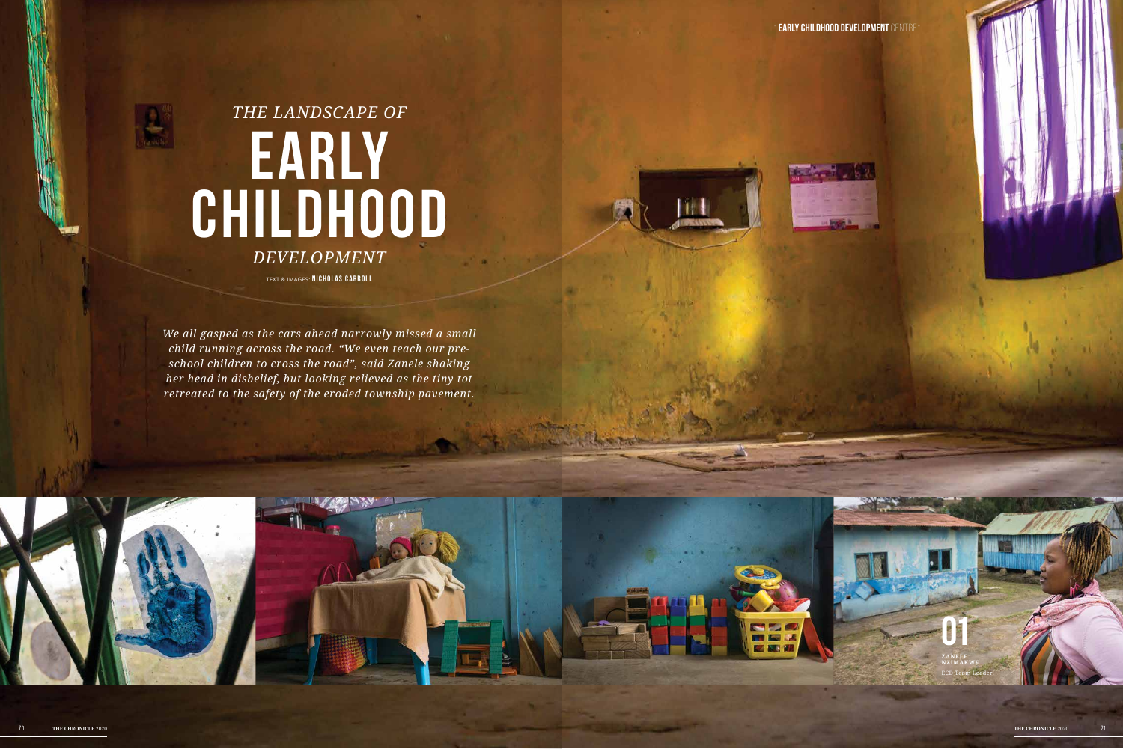-**Early childhood development** centre-





**Andrew Property** 

## *The landscape of* **Early Childhood** *Development* TEXT & images: **NICHOLAS CARROLL**

*We all gasped as the cars ahead narrowly missed a small child running across the road. "We even teach our preschool children to cross the road", said Zanele shaking her head in disbelief, but looking relieved as the tiny tot retreated to the safety of the eroded township pavement.*

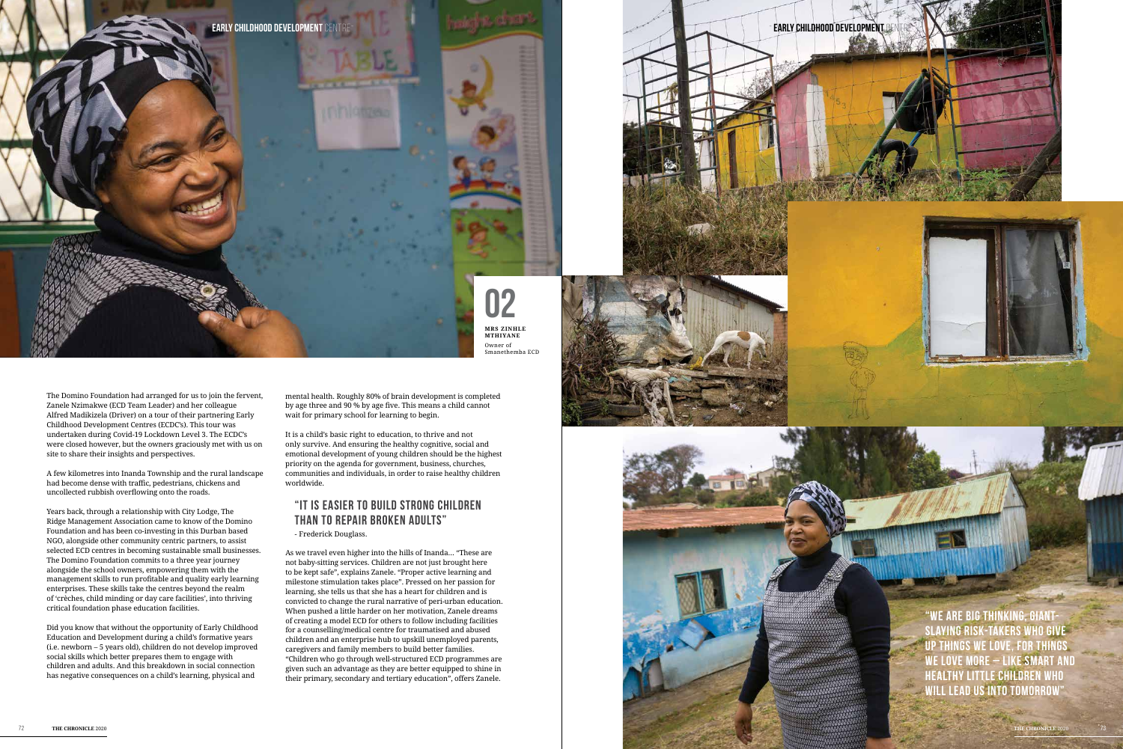The Domino Foundation had arranged for us to join the fervent, Zanele Nzimakwe (ECD Team Leader) and her colleague Alfred Madikizela (Driver) on a tour of their partnering Early Childhood Development Centres (ECDC's). This tour was undertaken during Covid-19 Lockdown Level 3. The ECDC's were closed however, but the owners graciously met with us on site to share their insights and perspectives.

A few kilometres into Inanda Township and the rural landscape had become dense with traffic, pedestrians, chickens and uncollected rubbish overflowing onto the roads.

Years back, through a relationship with City Lodge, The Ridge Management Association came to know of the Domino Foundation and has been co-investing in this Durban based NGO, alongside other community centric partners, to assist selected ECD centres in becoming sustainable small businesses. The Domino Foundation commits to a three year journey alongside the school owners, empowering them with the management skills to run profitable and quality early learning enterprises. These skills take the centres beyond the realm of 'crèches, child minding or day care facilities', into thriving critical foundation phase education facilities.

Did you know that without the opportunity of Early Childhood Education and Development during a child's formative years (i.e. newborn – 5 years old), children do not develop improved social skills which better prepares them to engage with children and adults. And this breakdown in social connection has negative consequences on a child's learning, physical and



mental health. Roughly 80% of brain development is completed by age three and 90 % by age five. This means a child cannot wait for primary school for learning to begin.

It is a child's basic right to education, to thrive and not only survive. And ensuring the healthy cognitive, social and emotional development of young children should be the highest priority on the agenda for government, business, churches, communities and individuals, in order to raise healthy children worldwide.

## **"It is easier to build strong children than to repair broken adults"**  - Frederick Douglass.

As we travel even higher into the hills of Inanda… "These are not baby-sitting services. Children are not just brought here to be kept safe", explains Zanele. "Proper active learning and milestone stimulation takes place". Pressed on her passion for learning, she tells us that she has a heart for children and is convicted to change the rural narrative of peri-urban education. When pushed a little harder on her motivation, Zanele dreams of creating a model ECD for others to follow including facilities for a counselling/medical centre for traumatised and abused children and an enterprise hub to upskill unemployed parents, caregivers and family members to build better families. "Children who go through well-structured ECD programmes are given such an advantage as they are better equipped to shine in their primary, secondary and tertiary education", offers Zanele.



**"We are big thinking, giantslaying risk-takers who give up things we love, for things we love more – like smart and healthy little children who will lead us into tomorrow"**